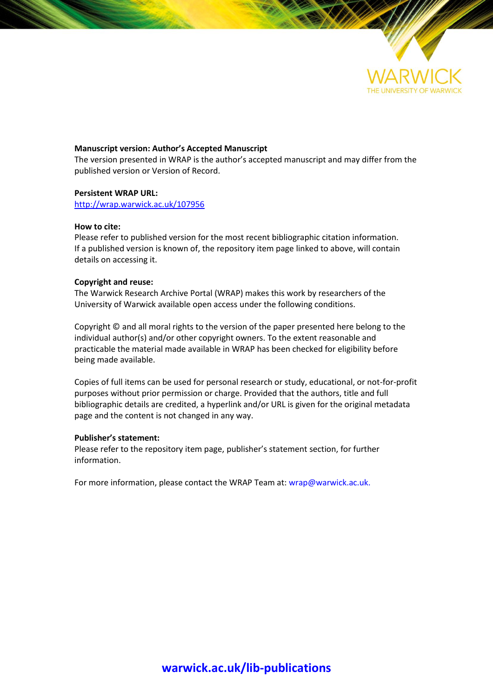

# **Manuscript version: Author's Accepted Manuscript**

The version presented in WRAP is the author's accepted manuscript and may differ from the published version or Version of Record.

# **Persistent WRAP URL:**

<http://wrap.warwick.ac.uk/107956>

# **How to cite:**

Please refer to published version for the most recent bibliographic citation information. If a published version is known of, the repository item page linked to above, will contain details on accessing it.

# **Copyright and reuse:**

The Warwick Research Archive Portal (WRAP) makes this work by researchers of the University of Warwick available open access under the following conditions.

Copyright © and all moral rights to the version of the paper presented here belong to the individual author(s) and/or other copyright owners. To the extent reasonable and practicable the material made available in WRAP has been checked for eligibility before being made available.

Copies of full items can be used for personal research or study, educational, or not-for-profit purposes without prior permission or charge. Provided that the authors, title and full bibliographic details are credited, a hyperlink and/or URL is given for the original metadata page and the content is not changed in any way.

# **Publisher's statement:**

Please refer to the repository item page, publisher's statement section, for further information.

For more information, please contact the WRAP Team at[: wrap@warwick.ac.uk.](mailto:wrap@warwick.ac.uk)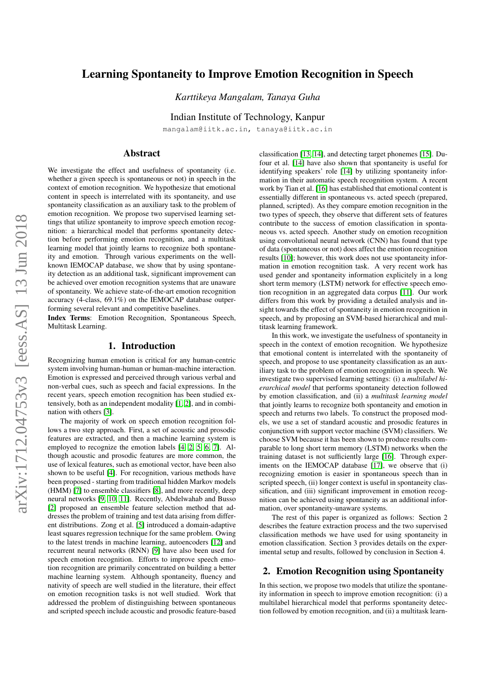# Learning Spontaneity to Improve Emotion Recognition in Speech

*Karttikeya Mangalam, Tanaya Guha*

Indian Institute of Technology, Kanpur

mangalam@iitk.ac.in, tanaya@iitk.ac.in

# Abstract

We investigate the effect and usefulness of spontaneity (i.e. whether a given speech is spontaneous or not) in speech in the context of emotion recognition. We hypothesize that emotional content in speech is interrelated with its spontaneity, and use spontaneity classification as an auxiliary task to the problem of emotion recognition. We propose two supervised learning settings that utilize spontaneity to improve speech emotion recognition: a hierarchical model that performs spontaneity detection before performing emotion recognition, and a multitask learning model that jointly learns to recognize both spontaneity and emotion. Through various experiments on the wellknown IEMOCAP database, we show that by using spontaneity detection as an additional task, significant improvement can be achieved over emotion recognition systems that are unaware of spontaneity. We achieve state-of-the-art emotion recognition accuracy (4-class, 69.1%) on the IEMOCAP database outperforming several relevant and competitive baselines.

Index Terms: Emotion Recognition, Spontaneous Speech, Multitask Learning.

## 1. Introduction

Recognizing human emotion is critical for any human-centric system involving human-human or human-machine interaction. Emotion is expressed and perceived through various verbal and non-verbal cues, such as speech and facial expressions. In the recent years, speech emotion recognition has been studied extensively, both as an independent modality [\[1,](#page-4-0) [2\]](#page-5-0), and in combination with others [\[3\]](#page-5-1).

The majority of work on speech emotion recognition follows a two step approach. First, a set of acoustic and prosodic features are extracted, and then a machine learning system is employed to recognize the emotion labels [\[4,](#page-5-2) [2,](#page-5-0) [5,](#page-5-3) [6,](#page-5-4) [7\]](#page-5-5). Although acoustic and prosodic features are more common, the use of lexical features, such as emotional vector, have been also shown to be useful [\[4\]](#page-5-2). For recognition, various methods have been proposed - starting from traditional hidden Markov models (HMM) [\[7\]](#page-5-5) to ensemble classifiers [\[8\]](#page-5-6), and more recently, deep neural networks [\[9,](#page-5-7) [10,](#page-5-8) [11\]](#page-5-9). Recently, Abdelwahab and Busso [\[2\]](#page-5-0) proposed an ensemble feature selection method that addresses the problem of training and test data arising from different distributions. Zong et al. [\[5\]](#page-5-3) introduced a domain-adaptive least squares regression technique for the same problem. Owing to the latest trends in machine learning, autoencoders [\[12\]](#page-5-10) and recurrent neural networks (RNN) [\[9\]](#page-5-7) have also been used for speech emotion recognition. Efforts to improve speech emotion recognition are primarily concentrated on building a better machine learning system. Although spontaneity, fluency and nativity of speech are well studied in the literature, their effect on emotion recognition tasks is not well studied. Work that addressed the problem of distinguishing between spontaneous and scripted speech include acoustic and prosodic feature-based

classification [\[13,](#page-5-11) [14\]](#page-5-12), and detecting target phonemes [\[15\]](#page-5-13). Dufour et al. [\[14\]](#page-5-12) have also shown that spontaneity is useful for identifying speakers' role [\[14\]](#page-5-12) by utilizing spontaneity information in their automatic speech recognition system. A recent work by Tian et al. [\[16\]](#page-5-14) has established that emotional content is essentially different in spontaneous vs. acted speech (prepared, planned, scripted). As they compare emotion recognition in the two types of speech, they observe that different sets of features contribute to the success of emotion classification in spontaneous vs. acted speech. Another study on emotion recognition using convolutional neural network (CNN) has found that type of data (spontaneous or not) does affect the emotion recognition results [\[10\]](#page-5-8); however, this work does not use spontaneity information in emotion recognition task. A very recent work has used gender and spontaneity information explicitely in a long short term memory (LSTM) network for effective speech emotion recognition in an aggregated data corpus [\[11\]](#page-5-9). Our work differs from this work by providing a detailed analysis and insight towards the effect of spontaneity in emotion recognition in speech, and by proposing an SVM-based hierarchical and multitask learning framework.

In this work, we investigate the usefulness of spontaneity in speech in the context of emotion recognition. We hypothesize that emotional content is interrelated with the spontaneity of speech, and propose to use spontaneity classification as an auxiliary task to the problem of emotion recognition in speech. We investigate two supervised learning settings: (i) a *multilabel hierarchical model* that performs spontaneity detection followed by emotion classification, and (ii) a *multitask learning model* that jointly learns to recognize both spontaneity and emotion in speech and returns two labels. To construct the proposed models, we use a set of standard acoustic and prosodic features in conjunction with support vector machine (SVM) classifiers. We choose SVM because it has been shown to produce results comparable to long short term memory (LSTM) networks when the training dataset is not sufficiently large [\[16\]](#page-5-14). Through exper-iments on the IEMOCAP database [\[17\]](#page-5-15), we observe that (i) recognizing emotion is easier in spontaneous speech than in scripted speech, (ii) longer context is useful in spontaneity classification, and (iii) significant improvement in emotion recognition can be achieved using spontaneity as an additional information, over spontaneity-unaware systems.

The rest of this paper is organized as follows: Section 2 describes the feature extraction process and the two supervised classification methods we have used for using spontaneity in emotion classification. Section 3 provides details on the experimental setup and results, followed by conclusion in Section 4.

# 2. Emotion Recognition using Spontaneity

In this section, we propose two models that utilize the spontaneity information in speech to improve emotion recognition: (i) a multilabel hierarchical model that performs spontaneity detection followed by emotion recognition, and (ii) a multitask learn-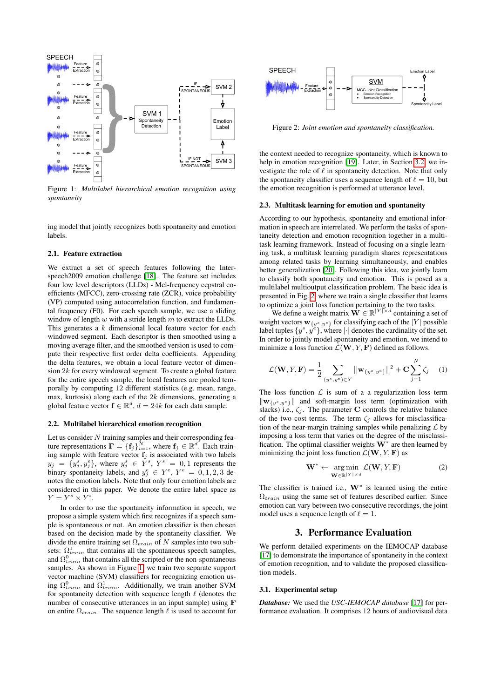<span id="page-2-0"></span>

Figure 1: *Multilabel hierarchical emotion recognition using spontaneity*

ing model that jointly recognizes both spontaneity and emotion labels.

## <span id="page-2-2"></span>2.1. Feature extraction

We extract a set of speech features following the Interspeech2009 emotion challenge [\[18\]](#page-5-16). The feature set includes four low level descriptors (LLDs) - Mel-frequency cepstral coefficients (MFCC), zero-crossing rate (ZCR), voice probability (VP) computed using autocorrelation function, and fundamental frequency (F0). For each speech sample, we use a sliding window of length  $w$  with a stride length  $m$  to extract the LLDs. This generates a k dimensional local feature vector for each windowed segment. Each descriptor is then smoothed using a moving average filter, and the smoothed version is used to compute their respective first order delta coefficients. Appending the delta features, we obtain a local feature vector of dimension  $2k$  for every windowed segment. To create a global feature for the entire speech sample, the local features are pooled temporally by computing 12 different statistics (e.g. mean, range, max, kurtosis) along each of the  $2k$  dimensions, generating a global feature vector  $f \in \mathbb{R}^d$ ,  $d = 24k$  for each data sample.

#### 2.2. Multilabel hierarchical emotion recognition

Let us consider  $N$  training samples and their corresponding feature representations  $\mathbf{F} = \{\mathbf{f}_j\}_{i=1}^{\bar{N}}$ , where  $\mathbf{f}_j \in \mathbb{R}^d$ . Each training sample with feature vector  $f_j$  is associated with two labels  $y_j = \{y_j^s, y_j^e\}$ , where  $y_j^s \in Y^s$ ,  $Y^s = 0, 1$  represents the binary spontaneity labels, and  $y_j^e \in Y^e$ ,  $Y^e = 0, 1, 2, 3$  denotes the emotion labels. Note that only four emotion labels are considered in this paper. We denote the entire label space as  $Y = Y^s \times Y^i$ .

In order to use the spontaneity information in speech, we propose a simple system which first recognizes if a speech sample is spontaneous or not. An emotion classifier is then chosen based on the decision made by the spontaneity classifier. We divide the entire training set  $\Omega_{train}$  of N samples into two subsets:  $\Omega_{train}^1$  that contains all the spontaneous speech samples, and  $\Omega_{train}^0$  that contains all the scripted or the non-spontaneous samples. As shown in Figure [1,](#page-2-0) we train two separate support vector machine (SVM) classifiers for recognizing emotion using  $\Omega_{train}^0$  and  $\Omega_{train}^1$ . Additionally, we train another SVM for spontaneity detection with sequence length  $\ell$  (denotes the number of consecutive utterances in an input sample) using F on entire  $\Omega_{train}$ . The sequence length  $\ell$  is used to account for

<span id="page-2-1"></span>

Figure 2: *Joint emotion and spontaneity classification.*

the context needed to recognize spontaneity, which is known to help in emotion recognition [\[19\]](#page-5-17). Later, in Section [3.2,](#page-3-0) we investigate the role of  $\ell$  in spontaneity detection. Note that only the spontaneity classifier uses a sequence length of  $\ell = 10$ , but the emotion recognition is performed at utterance level.

#### 2.3. Multitask learning for emotion and spontaneity

According to our hypothesis, spontaneity and emotional information in speech are interrelated. We perform the tasks of spontaneity detection and emotion recognition together in a multitask learning framework. Instead of focusing on a single learning task, a multitask learning paradigm shares representations among related tasks by learning simultaneously, and enables better generalization [\[20\]](#page-5-18). Following this idea, we jointly learn to classify both spontaneity and emotion. This is posed as a multilabel multioutput classification problem. The basic idea is presented in Fig. [2,](#page-2-1) where we train a single classifier that learns to optimize a joint loss function pertaining to the two tasks.

We define a weight matrix  $\tilde{\mathbf{W}} \in \mathbb{R}^{|Y|\times d}$  containing a set of weight vectors  $\mathbf{w}_{y^s,y^e}$  for classifying each of the  $|Y|$  possible label tuples  $\{y^s, y^{\tilde{e}}\}$ , where  $|\cdot|$  denotes the cardinality of the set. In order to jointly model spontaneity and emotion, we intend to minimize a loss function  $\mathcal{L}(\mathbf{W}, Y, \mathbf{F})$  defined as follows.

$$
\mathcal{L}(\mathbf{W}, Y, \mathbf{F}) = \frac{1}{2} \sum_{(y^s, y^e) \in Y} ||\mathbf{w}_{\{y^s, y^e\}}||^2 + \mathbf{C} \sum_{j=1}^N \zeta_j \quad (1)
$$

The loss function  $\mathcal L$  is sum of a a regularization loss term  $\|\mathbf{w}_{\{y^s, y^e\}}\|$  and soft-margin loss term (optimization with slacks) i.e.,  $\zeta_j$ . The parameter C controls the relative balance of the two cost terms. The term  $\zeta_i$  allows for misclassification of the near-margin training samples while penalizing  $\mathcal L$  by imposing a loss term that varies on the degree of the misclassification. The optimal classifier weights  $W^*$  are then learned by minimizing the joint loss function  $\mathcal{L}(\mathbf{W}, Y, \mathbf{F})$  as

$$
\mathbf{W}^* \leftarrow \underset{\mathbf{W} \in \mathbb{R}^{|Y| \times d}}{\arg \min} \mathcal{L}(\mathbf{W}, Y, \mathbf{F}) \tag{2}
$$

The classifier is trained i.e.,  $W^*$  is learned using the entire  $\Omega_{train}$  using the same set of features described earlier. Since emotion can vary between two consecutive recordings, the joint model uses a sequence length of  $\ell = 1$ .

## 3. Performance Evaluation

We perform detailed experiments on the IEMOCAP database [\[17\]](#page-5-15) to demonstrate the importance of spontaneity in the context of emotion recognition, and to validate the proposed classification models.

#### 3.1. Experimental setup

*Database:* We used the *USC-IEMOCAP database* [\[17\]](#page-5-15) for performance evaluation. It comprises 12 hours of audiovisual data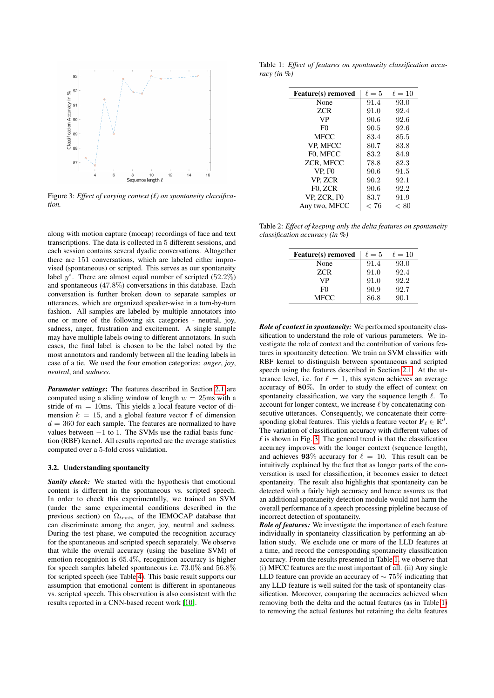<span id="page-3-1"></span>

Figure 3: *Effect of varying context (* $\ell$ *) on spontaneity classification.*

along with motion capture (mocap) recordings of face and text transcriptions. The data is collected in 5 different sessions, and each session contains several dyadic conversations. Altogether there are 151 conversations, which are labeled either improvised (spontaneous) or scripted. This serves as our spontaneity label  $y^s$ . There are almost equal number of scripted (52.2%) and spontaneous (47.8%) conversations in this database. Each conversation is further broken down to separate samples or utterances, which are organized speaker-wise in a turn-by-turn fashion. All samples are labeled by multiple annotators into one or more of the following six categories - neutral, joy, sadness, anger, frustration and excitement. A single sample may have multiple labels owing to different annotators. In such cases, the final label is chosen to be the label noted by the most annotators and randomly between all the leading labels in case of a tie. We used the four emotion categories: *anger*, *joy*, *neutral*, and *sadness*.

*Parameter settings*: The features described in Section [2.1](#page-2-2) are computed using a sliding window of length  $w = 25$ ms with a stride of  $m = 10$ ms. This yields a local feature vector of dimension  $k = 15$ , and a global feature vector f of dimension  $d = 360$  for each sample. The features are normalized to have values between  $-1$  to 1. The SVMs use the radial basis function (RBF) kernel. All results reported are the average statistics computed over a 5-fold cross validation.

## <span id="page-3-0"></span>3.2. Understanding spontaneity

*Sanity check:* We started with the hypothesis that emotional content is different in the spontaneous vs. scripted speech. In order to check this experimentally, we trained an SVM (under the same experimental conditions described in the previous section) on  $\Omega_{train}$  of the IEMOCAP database that can discriminate among the anger, joy, neutral and sadness. During the test phase, we computed the recognition accuracy for the spontaneous and scripted speech separately. We observe that while the overall accuracy (using the baseline SVM) of emotion recognition is 65.4%, recognition accuracy is higher for speech samples labeled spontaneous i.e. 73.0% and 56.8% for scripted speech (see Table [4\)](#page-4-1). This basic result supports our assumption that emotional content is different in spontaneous vs. scripted speech. This observation is also consistent with the results reported in a CNN-based recent work [\[10\]](#page-5-8).

<span id="page-3-2"></span>Table 1: *Effect of features on spontaneity classification accuracy (in %)*

| <b>Feature(s)</b> removed | $\ell=5$ | $\ell=10$ |
|---------------------------|----------|-----------|
| None                      | 91.4     | 93.0      |
| ZCR                       | 91.0     | 92.4      |
| VP                        | 90.6     | 92.6      |
| F <sub>0</sub>            | 90.5     | 92.6      |
| <b>MFCC</b>               | 83.4     | 85.5      |
| VP. MFCC                  | 80.7     | 83.8      |
| F0. MFCC                  | 83.2     | 84.9      |
| <b>ZCR. MFCC</b>          | 78.8     | 82.3      |
| <b>VP. FO</b>             | 90.6     | 91.5      |
| VP. ZCR                   | 90.2     | 92.1      |
| F <sub>0</sub> , ZCR      | 90.6     | 92.2      |
| VP. ZCR. FO               | 83.7     | 91.9      |
| Any two, MFCC             | < 76     | < 80      |

<span id="page-3-3"></span>Table 2: *Effect of keeping only the delta features on spontaneity classification accuracy (in %)*

| <b>Feature(s)</b> removed | $\ell=5$ | $\ell=10$ |
|---------------------------|----------|-----------|
| None                      | 91.4     | 93.0      |
| <b>ZCR</b>                | 91.0     | 92.4      |
| VP                        | 91.0     | 92.2      |
| F <sub>0</sub>            | 90.9     | 92.7      |
| MFCC                      | 86.8     | 90.1      |

*Role of context in spontaneity:* We performed spontaneity classification to understand the role of various parameters. We investigate the role of context and the contribution of various features in spontaneity detection. We train an SVM classifier with RBF kernel to distinguish between spontaneous and scripted speech using the features described in Section [2.1.](#page-2-2) At the utterance level, i.e. for  $\ell = 1$ , this system achieves an average accuracy of 80%. In order to study the effect of context on spontaneity classification, we vary the sequence length  $\ell$ . To account for longer context, we increase  $\ell$  by concatenating consecutive utterances. Consequently, we concatenate their corresponding global features. This yields a feature vector  $\mathbf{F}_{\ell} \in \mathbb{R}^{d}$ . The variation of classification accuracy with different values of  $\ell$  is shown in Fig. [3.](#page-3-1) The general trend is that the classification accuracy improves with the longer context (sequence length), and achieves 93% accuracy for  $\ell = 10$ . This result can be intuitively explained by the fact that as longer parts of the conversation is used for classification, it becomes easier to detect spontaneity. The result also highlights that spontaneity can be detected with a fairly high accuracy and hence assures us that an additional spontaneity detection module would not harm the overall performance of a speech processing pipleline because of incorrect detection of spontaneity.

*Role of features:* We investigate the importance of each feature individually in spontaneity classification by performing an ablation study. We exclude one or more of the LLD features at a time, and record the corresponding spontaneity classification accuracy. From the results presented in Table [1,](#page-3-2) we observe that (i) MFCC features are the most important of all. (ii) Any single LLD feature can provide an accuracy of  $\sim$  75% indicating that any LLD feature is well suited for the task of spontaneity classification. Moreover, comparing the accuracies achieved when removing both the delta and the actual features (as in Table [1\)](#page-3-2) to removing the actual features but retaining the delta features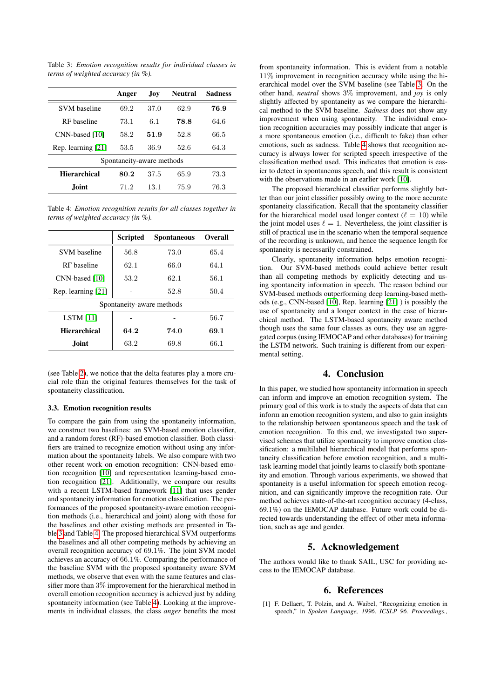<span id="page-4-2"></span>Table 3: *Emotion recognition results for individual classes in terms of weighted accuracy (in %).*

|                           | Anger | <b>Joy</b> | <b>Neutral</b> | <b>Sadness</b> |  |  |
|---------------------------|-------|------------|----------------|----------------|--|--|
| <b>SVM</b> baseline       | 69.2  | 37.0       | 62.9           | 76.9           |  |  |
| RF baseline               | 73.1  | 6.1        | 78.8           | 64.6           |  |  |
| CNN-based [10]            | 58.2  | 51.9       | 52.8           | 66.5           |  |  |
| Rep. learning [21]        | 53.5  | 36.9       | 52.6           | 64.3           |  |  |
| Spontaneity-aware methods |       |            |                |                |  |  |
| <b>Hierarchical</b>       | 80.2  | 37.5       | 65.9           | 73.3           |  |  |
| <b>Joint</b>              | 71.2  | 13.1       | 75.9           | 76.3           |  |  |

<span id="page-4-1"></span>Table 4: *Emotion recognition results for all classes together in terms of weighted accuracy (in %).*

|                           | <b>Scripted</b> | <b>Spontaneous</b> | Overall |  |  |  |
|---------------------------|-----------------|--------------------|---------|--|--|--|
| <b>SVM</b> baseline       | 56.8            | 73.0               | 65.4    |  |  |  |
| RF baseline               | 62.1            | 66.0               | 64.1    |  |  |  |
| CNN-based [10]            | 53.2            | 62.1               | 56.1    |  |  |  |
| Rep. learning [21]        |                 | 52.8               | 50.4    |  |  |  |
| Spontaneity-aware methods |                 |                    |         |  |  |  |
| LSTM $[11]$               |                 |                    | 56.7    |  |  |  |
| <b>Hierarchical</b>       | 64.2            | 74.0               | 69.1    |  |  |  |
| <b>Joint</b>              | 63.2            | 69.8               | 66.1    |  |  |  |

(see Table [2\)](#page-3-3), we notice that the delta features play a more crucial role than the original features themselves for the task of spontaneity classification.

#### 3.3. Emotion recognition results

To compare the gain from using the spontaneity information, we construct two baselines: an SVM-based emotion classifier, and a random forest (RF)-based emotion classifier. Both classifiers are trained to recognize emotion without using any information about the spontaneity labels. We also compare with two other recent work on emotion recognition: CNN-based emotion recognition [\[10\]](#page-5-8) and representation learning-based emotion recognition [\[21\]](#page-5-19). Additionally, we compare our results with a recent LSTM-based framework [\[11\]](#page-5-9) that uses gender and spontaneity information for emotion classification. The performances of the proposed spontaneity-aware emotion recognition methods (i.e., hierarchical and joint) along with those for the baselines and other existing methods are presented in Table [3](#page-4-2) and Table [4.](#page-4-1) The proposed hierarchical SVM outperforms the baselines and all other competing methods by achieving an overall recognition accuracy of 69.1%. The joint SVM model achieves an accuracy of 66.1%. Comparing the performance of the baseline SVM with the proposed spontaneity aware SVM methods, we observe that even with the same features and classifier more than 3% improvement for the hierarchical method in overall emotion recognition accuracy is achieved just by adding spontaneity information (see Table [4\)](#page-4-1). Looking at the improvements in individual classes, the class *anger* benefits the most from spontaneity information. This is evident from a notable 11% improvement in recognition accuracy while using the hierarchical model over the SVM baseline (see Table [3.](#page-4-2) On the other hand, *neutral* shows 3% improvement, and *joy* is only slightly affected by spontaneity as we compare the hierarchical method to the SVM baseline. *Sadness* does not show any improvement when using spontaneity. The individual emotion recognition accuracies may possibly indicate that anger is a more spontaneous emotion (i.e., difficult to fake) than other emotions, such as sadness. Table [4](#page-4-1) shows that recognition accuracy is always lower for scripted speech irrespective of the classification method used. This indicates that emotion is easier to detect in spontaneous speech, and this result is consistent with the observations made in an earlier work [\[10\]](#page-5-8).

The proposed hierarchical classifier performs slightly better than our joint classifier possibly owing to the more accurate spontaneity classification. Recall that the spontaneity classifier for the hierarchical model used longer context ( $\ell = 10$ ) while the joint model uses  $\ell = 1$ . Nevertheless, the joint classifier is still of practical use in the scenario when the temporal sequence of the recording is unknown, and hence the sequence length for spontaneity is necessarily constrained.

Clearly, spontaneity information helps emotion recognition. Our SVM-based methods could achieve better result than all competing methods by explicitly detecting and using spontaneity information in speech. The reason behind our SVM-based methods outperforming deep learning-based methods (e.g., CNN-based [\[10\]](#page-5-8), Rep. learning [\[21\]](#page-5-19) ) is possibly the use of spontaneity and a longer context in the case of hierarchical method. The LSTM-based spontaneity aware method though uses the same four classes as ours, they use an aggregated corpus (using IEMOCAP and other databases) for training the LSTM network. Such training is different from our experimental setting.

#### 4. Conclusion

In this paper, we studied how spontaneity information in speech can inform and improve an emotion recognition system. The primary goal of this work is to study the aspects of data that can inform an emotion recognition system, and also to gain insights to the relationship between spontaneous speech and the task of emotion recognition. To this end, we investigated two supervised schemes that utilize spontaneity to improve emotion classification: a multilabel hierarchical model that performs spontaneity classification before emotion recognition, and a multitask learning model that jointly learns to classify both spontaneity and emotion. Through various experiments, we showed that spontaneity is a useful information for speech emotion recognition, and can significantly improve the recognition rate. Our method achieves state-of-the-art recognition accuracy (4-class, 69.1%) on the IEMOCAP database. Future work could be directed towards understanding the effect of other meta information, such as age and gender.

## 5. Acknowledgement

The authors would like to thank SAIL, USC for providing access to the IEMOCAP database.

#### 6. References

<span id="page-4-0"></span>[1] F. Dellaert, T. Polzin, and A. Waibel, "Recognizing emotion in speech," in *Spoken Language, 1996. ICSLP 96. Proceedings.,*